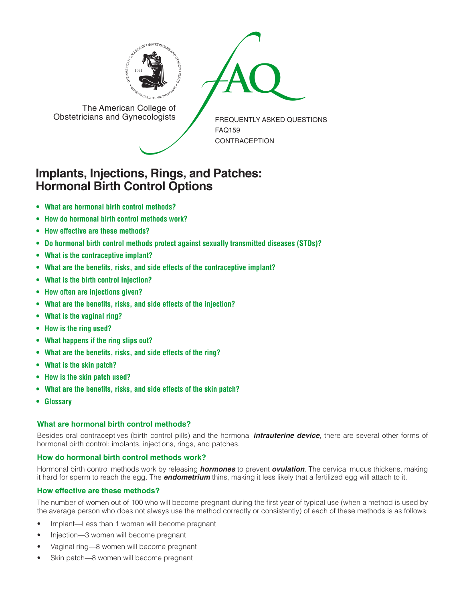



The American College of<br>Obstetricians and Gynecologists

FREQUENTLY ASKED QUESTIONS FAQ159 CONTRACEPTION

# **Implants, Injections, Rings, and Patches: Hormonal Birth Control Options**

- **• What are hormonal birth control [methods?](#page-0-0)**
- **• How do [hormonal](#page-0-1) birth control methods work?**
- **• How effective are these [methods?](#page-0-2)**
- **• Do hormonal birth control methods protect against sexually [transmitted](#page-1-0) diseases (STDs)?**
- **• What is the [contraceptive](#page-1-1) implant?**
- **• What are the benefits, risks, and side effects of the [contraceptive](#page-1-2) implant?**
- **• What is the birth control [injection?](#page-1-3)**
- **• How often are [injections](#page-1-4) given?**
- **• What are the benefits, risks, and side effects of the [injection?](#page-1-5)**
- **[• What](#page-2-0) is the vaginal ring?**
- **[• How](#page-2-1) is the ring used?**
- **• What [happens](#page-2-2) if the ring slips out?**
- **• What are the [benefits,](#page-2-3) risks, and side effects of the ring?**
- **[• What](#page-2-4) is the skin patch?**
- **[• How](#page-2-5) is the skin patch used?**
- **• What are the [benefits,](#page-2-6) risks, and side effects of the skin patch?**
- **[• Glossary](#page-2-7)**

# <span id="page-0-0"></span>**What are hormonal birth control methods?**

Besides oral contraceptives (birth control pills) and the hormonal *intrauterine device*, there are several other forms of hormonal birth control: implants, injections, rings, and patches.

# <span id="page-0-1"></span>**How do hormonal birth control methods work?**

Hormonal birth control methods work by releasing *hormones* to prevent *ovulation*. The cervical mucus thickens, making it hard for sperm to reach the egg. The *endometrium* thins, making it less likely that a fertilized egg will attach to it.

# <span id="page-0-2"></span>**How effective are these methods?**

The number of women out of 100 who will become pregnant during the first year of typical use (when a method is used by the average person who does not always use the method correctly or consistently) of each of these methods is as follows:

- Implant—Less than 1 woman will become pregnant
- Injection—3 women will become pregnant
- Vaginal ring—8 women will become pregnant
- Skin patch—8 women will become pregnant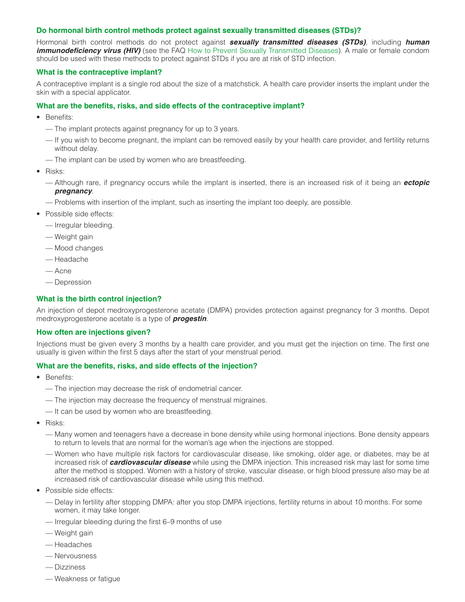#### <span id="page-1-0"></span>**Do hormonal birth control methods protect against sexually transmitted diseases (STDs)?**

Hormonal birth control methods do not protect against *sexually transmitted diseases (STDs)*, including *human immunodeficiency virus (HIV)* (see the FAQ [How to Prevent Sexually Transmitted Diseases](http://www.acog.org/publications/faq/faq009.cfm)). A male or female condom should be used with these methods to protect against STDs if you are at risk of STD infection.

#### <span id="page-1-1"></span>**What is the contraceptive implant?**

A contraceptive implant is a single rod about the size of a matchstick. A health care provider inserts the implant under the skin with a special applicator.

#### <span id="page-1-2"></span>**What are the benefits, risks, and side effects of the contraceptive implant?**

- Benefits:
	- The implant protects against pregnancy for up to 3 years.
	- If you wish to become pregnant, the implant can be removed easily by your health care provider, and fertility returns without delay.
	- The implant can be used by women who are breastfeeding.
- Risks:
	- Although rare, if pregnancy occurs while the implant is inserted, there is an increased risk of it being an *ectopic pregnancy*.
	- Problems with insertion of the implant, such as inserting the implant too deeply, are possible.
- Possible side effects:
	- Irregular bleeding.
	- Weight gain
	- Mood changes
	- Headache
	- Acne
	- Depression

## <span id="page-1-3"></span>**What is the birth control injection?**

An injection of depot medroxyprogesterone acetate (DMPA) provides protection against pregnancy for 3 months. Depot medroxyprogesterone acetate is a type of *progestin*.

#### <span id="page-1-4"></span>**How often are injections given?**

Injections must be given every 3 months by a health care provider, and you must get the injection on time. The first one usually is given within the first 5 days after the start of your menstrual period.

#### <span id="page-1-5"></span>**What are the benefits, risks, and side effects of the injection?**

- Benefits:
	- The injection may decrease the risk of endometrial cancer.
	- The injection may decrease the frequency of menstrual migraines.
	- It can be used by women who are breastfeeding.
- Risks:
	- Many women and teenagers have a decrease in bone density while using hormonal injections. Bone density appears to return to levels that are normal for the woman's age when the injections are stopped.
	- Women who have multiple risk factors for cardiovascular disease, like smoking, older age, or diabetes, may be at increased risk of *cardiovascular disease* while using the DMPA injection. This increased risk may last for some time after the method is stopped. Women with a history of stroke, vascular disease, or high blood pressure also may be at increased risk of cardiovascular disease while using this method.
- Possible side effects:
	- Delay in fertility after stopping DMPA: after you stop DMPA injections, fertility returns in about 10 months. For some women, it may take longer.
	- Irregular bleeding during the first 6 –9 months of use
	- Weight gain
	- Headaches
	- Nervousness
	- Dizziness
	- Weakness or fatigue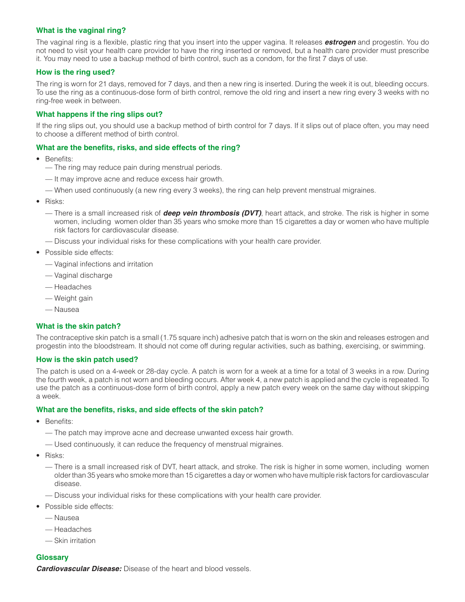# <span id="page-2-0"></span>**What is the vaginal ring?**

The vaginal ring is a flexible, plastic ring that you insert into the upper vagina. It releases *estrogen* and progestin. You do not need to visit your health care provider to have the ring inserted or removed, but a health care provider must prescribe it. You may need to use a backup method of birth control, such as a condom, for the first 7 days of use.

# <span id="page-2-1"></span>**How is the ring used?**

The ring is worn for 21 days, removed for 7 days, and then a new ring is inserted. During the week it is out, bleeding occurs. To use the ring as a continuous-dose form of birth control, remove the old ring and insert a new ring every 3 weeks with no ring-free week in between.

## <span id="page-2-2"></span>**What happens if the ring slips out?**

If the ring slips out, you should use a backup method of birth control for 7 days. If it slips out of place often, you may need to choose a different method of birth control.

#### <span id="page-2-3"></span>**What are the benefits, risks, and side effects of the ring?**

- Benefits:
	- The ring may reduce pain during menstrual periods.
	- It may improve acne and reduce excess hair growth.
	- When used continuously (a new ring every 3 weeks), the ring can help prevent menstrual migraines.
- Risks:
	- There is a small increased risk of *deep vein thrombosis (DVT)*, heart attack, and stroke. The risk is higher in some women, including women older than 35 years who smoke more than 15 cigarettes a day or women who have multiple risk factors for cardiovascular disease.
	- Discuss your individual risks for these complications with your health care provider.
- Possible side effects:
	- Vaginal infections and irritation
	- Vaginal discharge
	- Headaches
	- Weight gain
	- Nausea

# <span id="page-2-4"></span>**What is the skin patch?**

The contraceptive skin patch is a small (1.75 square inch) adhesive patch that is worn on the skin and releases estrogen and progestin into the bloodstream. It should not come off during regular activities, such as bathing, exercising, or swimming.

# <span id="page-2-5"></span>**How is the skin patch used?**

The patch is used on a 4-week or 28-day cycle. A patch is worn for a week at a time for a total of 3 weeks in a row. During the fourth week, a patch is not worn and bleeding occurs. After week 4, a new patch is applied and the cycle is repeated. To use the patch as a continuous-dose form of birth control, apply a new patch every week on the same day without skipping a week.

#### <span id="page-2-6"></span>**What are the benefits, risks, and side effects of the skin patch?**

- Benefits:
	- The patch may improve acne and decrease unwanted excess hair growth.
	- Used continuously, it can reduce the frequency of menstrual migraines.
- Risks:
	- There is a small increased risk of DVT, heart attack, and stroke. The risk is higher in some women, including women older than 35 years who smoke more than 15 cigarettes a day or women who have multiple risk factors for cardiovascular disease.
	- Discuss your individual risks for these complications with your health care provider.
- Possible side effects:
	- Nausea
	- Headaches
	- Skin irritation

# <span id="page-2-7"></span>**Glossary**

*Cardiovascular Disease:* Disease of the heart and blood vessels.